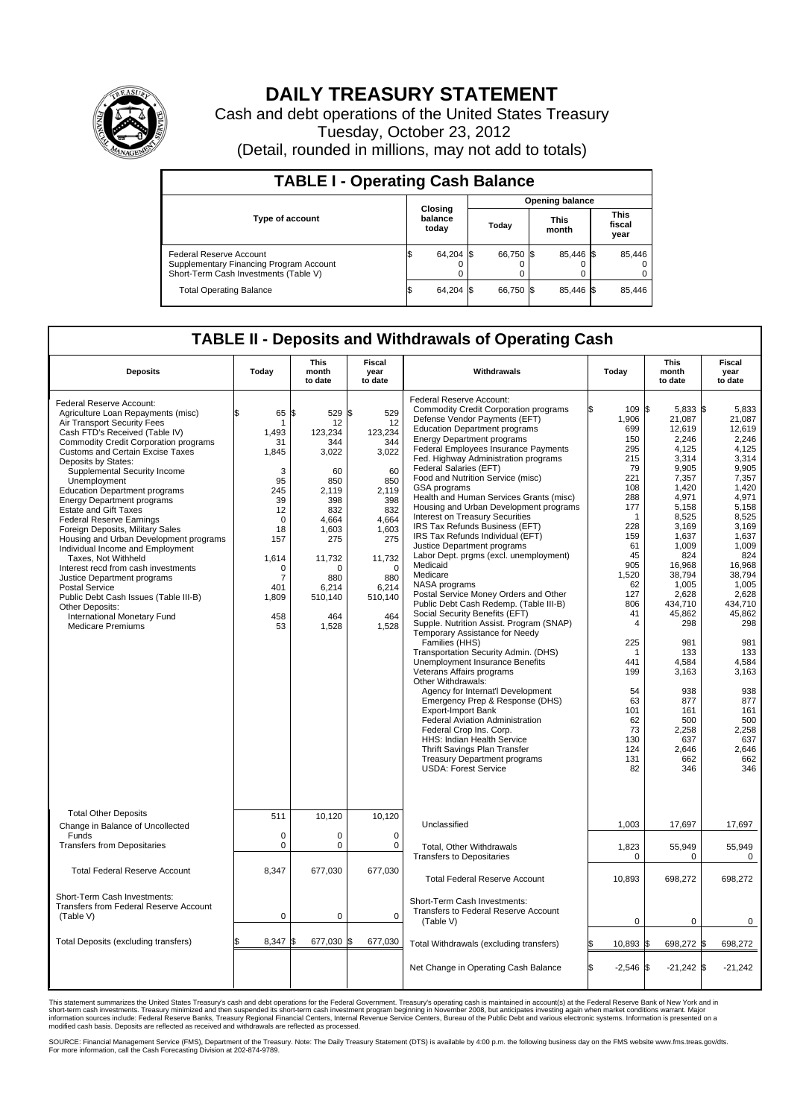

## **DAILY TREASURY STATEMENT**

Cash and debt operations of the United States Treasury Tuesday, October 23, 2012 (Detail, rounded in millions, may not add to totals)

| <b>TABLE I - Operating Cash Balance</b>                                                                     |                             |                        |                      |                               |  |  |  |  |  |
|-------------------------------------------------------------------------------------------------------------|-----------------------------|------------------------|----------------------|-------------------------------|--|--|--|--|--|
|                                                                                                             |                             | <b>Opening balance</b> |                      |                               |  |  |  |  |  |
| <b>Type of account</b>                                                                                      | Closing<br>balance<br>today | Today                  | <b>This</b><br>month | <b>This</b><br>fiscal<br>year |  |  |  |  |  |
| Federal Reserve Account<br>Supplementary Financing Program Account<br>Short-Term Cash Investments (Table V) | 64,204 \$<br>0              | 66,750 \$              | 85.446 \$            | 85,446<br>$^{(1)}$<br>0       |  |  |  |  |  |
| <b>Total Operating Balance</b>                                                                              | 64,204                      | 66.750 \$              | 85.446 \$            | 85.446                        |  |  |  |  |  |

## **TABLE II - Deposits and Withdrawals of Operating Cash**

| <b>Deposits</b>                                                                                                                                                                                                                                                                                                                                                                                                                                                                                                                                                                                                                                                                                                                                                                                                  | Todav                                                                                                                                           | <b>This</b><br>month<br>to date                                                                                                                                           | Fiscal<br>year<br>to date                                                                                                                                                    | Withdrawals                                                                                                                                                                                                                                                                                                                                                                                                                                                                                                                                                                                                                                                                                                                                                                                                                                                                                                                                                                                                                                                                                                                                                                                                                                                                                                                                                 | Today                                                                                                                                                                                                                                                                  | <b>This</b><br>month<br>to date                                                                                                                                                                                                                                                                                      | <b>Fiscal</b><br>year<br>to date                                                                                                                                                                                                                                                                                  |
|------------------------------------------------------------------------------------------------------------------------------------------------------------------------------------------------------------------------------------------------------------------------------------------------------------------------------------------------------------------------------------------------------------------------------------------------------------------------------------------------------------------------------------------------------------------------------------------------------------------------------------------------------------------------------------------------------------------------------------------------------------------------------------------------------------------|-------------------------------------------------------------------------------------------------------------------------------------------------|---------------------------------------------------------------------------------------------------------------------------------------------------------------------------|------------------------------------------------------------------------------------------------------------------------------------------------------------------------------|-------------------------------------------------------------------------------------------------------------------------------------------------------------------------------------------------------------------------------------------------------------------------------------------------------------------------------------------------------------------------------------------------------------------------------------------------------------------------------------------------------------------------------------------------------------------------------------------------------------------------------------------------------------------------------------------------------------------------------------------------------------------------------------------------------------------------------------------------------------------------------------------------------------------------------------------------------------------------------------------------------------------------------------------------------------------------------------------------------------------------------------------------------------------------------------------------------------------------------------------------------------------------------------------------------------------------------------------------------------|------------------------------------------------------------------------------------------------------------------------------------------------------------------------------------------------------------------------------------------------------------------------|----------------------------------------------------------------------------------------------------------------------------------------------------------------------------------------------------------------------------------------------------------------------------------------------------------------------|-------------------------------------------------------------------------------------------------------------------------------------------------------------------------------------------------------------------------------------------------------------------------------------------------------------------|
| Federal Reserve Account:<br>Agriculture Loan Repayments (misc)<br>Air Transport Security Fees<br>Cash FTD's Received (Table IV)<br><b>Commodity Credit Corporation programs</b><br><b>Customs and Certain Excise Taxes</b><br>Deposits by States:<br>Supplemental Security Income<br>Unemployment<br><b>Education Department programs</b><br><b>Energy Department programs</b><br><b>Estate and Gift Taxes</b><br><b>Federal Reserve Earnings</b><br>Foreign Deposits, Military Sales<br>Housing and Urban Development programs<br>Individual Income and Employment<br>Taxes, Not Withheld<br>Interest recd from cash investments<br>Justice Department programs<br><b>Postal Service</b><br>Public Debt Cash Issues (Table III-B)<br>Other Deposits:<br>International Monetary Fund<br><b>Medicare Premiums</b> | \$<br>65<br>1<br>1,493<br>31<br>1,845<br>3<br>95<br>245<br>39<br>12<br>$\mathbf 0$<br>18<br>157<br>1,614<br>0<br>7<br>401<br>1,809<br>458<br>53 | l\$<br>529<br>12<br>123,234<br>344<br>3,022<br>60<br>850<br>2.119<br>398<br>832<br>4,664<br>1,603<br>275<br>11,732<br>$\Omega$<br>880<br>6,214<br>510,140<br>464<br>1,528 | 529<br>l\$<br>12<br>123,234<br>344<br>3,022<br>60<br>850<br>2,119<br>398<br>832<br>4,664<br>1,603<br>275<br>11,732<br>$\mathbf 0$<br>880<br>6,214<br>510,140<br>464<br>1,528 | <b>Federal Reserve Account:</b><br><b>Commodity Credit Corporation programs</b><br>Defense Vendor Payments (EFT)<br><b>Education Department programs</b><br><b>Energy Department programs</b><br>Federal Employees Insurance Payments<br>Fed. Highway Administration programs<br>Federal Salaries (EFT)<br>Food and Nutrition Service (misc)<br>GSA programs<br>Health and Human Services Grants (misc)<br>Housing and Urban Development programs<br><b>Interest on Treasury Securities</b><br>IRS Tax Refunds Business (EFT)<br>IRS Tax Refunds Individual (EFT)<br>Justice Department programs<br>Labor Dept. prgms (excl. unemployment)<br>Medicaid<br>Medicare<br>NASA programs<br>Postal Service Money Orders and Other<br>Public Debt Cash Redemp. (Table III-B)<br>Social Security Benefits (EFT)<br>Supple. Nutrition Assist. Program (SNAP)<br>Temporary Assistance for Needy<br>Families (HHS)<br>Transportation Security Admin. (DHS)<br><b>Unemployment Insurance Benefits</b><br>Veterans Affairs programs<br>Other Withdrawals:<br>Agency for Internat'l Development<br>Emergency Prep & Response (DHS)<br><b>Export-Import Bank</b><br><b>Federal Aviation Administration</b><br>Federal Crop Ins. Corp.<br>HHS: Indian Health Service<br>Thrift Savings Plan Transfer<br><b>Treasury Department programs</b><br><b>USDA: Forest Service</b> | 109 \$<br>1,906<br>699<br>150<br>295<br>215<br>79<br>221<br>108<br>288<br>177<br>$\mathbf 1$<br>228<br>159<br>61<br>45<br>905<br>1,520<br>62<br>127<br>806<br>41<br>$\overline{4}$<br>225<br>1<br>441<br>199<br>54<br>63<br>101<br>62<br>73<br>130<br>124<br>131<br>82 | 5,833 \$<br>21,087<br>12,619<br>2,246<br>4,125<br>3.314<br>9,905<br>7,357<br>1,420<br>4.971<br>5,158<br>8,525<br>3,169<br>1,637<br>1,009<br>824<br>16.968<br>38,794<br>1,005<br>2,628<br>434,710<br>45,862<br>298<br>981<br>133<br>4,584<br>3,163<br>938<br>877<br>161<br>500<br>2,258<br>637<br>2,646<br>662<br>346 | 5,833<br>21,087<br>12,619<br>2,246<br>4,125<br>3,314<br>9,905<br>7,357<br>1,420<br>4.971<br>5,158<br>8,525<br>3,169<br>1,637<br>1,009<br>824<br>16.968<br>38,794<br>1,005<br>2,628<br>434,710<br>45,862<br>298<br>981<br>133<br>4,584<br>3,163<br>938<br>877<br>161<br>500<br>2,258<br>637<br>2,646<br>662<br>346 |
| <b>Total Other Deposits</b><br>Change in Balance of Uncollected                                                                                                                                                                                                                                                                                                                                                                                                                                                                                                                                                                                                                                                                                                                                                  | 511                                                                                                                                             | 10,120                                                                                                                                                                    | 10,120                                                                                                                                                                       | Unclassified                                                                                                                                                                                                                                                                                                                                                                                                                                                                                                                                                                                                                                                                                                                                                                                                                                                                                                                                                                                                                                                                                                                                                                                                                                                                                                                                                | 1,003                                                                                                                                                                                                                                                                  | 17,697                                                                                                                                                                                                                                                                                                               | 17,697                                                                                                                                                                                                                                                                                                            |
| Funds<br><b>Transfers from Depositaries</b>                                                                                                                                                                                                                                                                                                                                                                                                                                                                                                                                                                                                                                                                                                                                                                      | $\mathbf 0$<br>0                                                                                                                                | $\mathbf 0$<br>0                                                                                                                                                          | $\mathbf 0$<br>$\mathbf 0$                                                                                                                                                   | <b>Total. Other Withdrawals</b><br><b>Transfers to Depositaries</b>                                                                                                                                                                                                                                                                                                                                                                                                                                                                                                                                                                                                                                                                                                                                                                                                                                                                                                                                                                                                                                                                                                                                                                                                                                                                                         | 1,823<br>0                                                                                                                                                                                                                                                             | 55,949<br>0                                                                                                                                                                                                                                                                                                          | 55.949<br>0                                                                                                                                                                                                                                                                                                       |
| <b>Total Federal Reserve Account</b>                                                                                                                                                                                                                                                                                                                                                                                                                                                                                                                                                                                                                                                                                                                                                                             | 8,347                                                                                                                                           | 677,030                                                                                                                                                                   | 677,030                                                                                                                                                                      | <b>Total Federal Reserve Account</b>                                                                                                                                                                                                                                                                                                                                                                                                                                                                                                                                                                                                                                                                                                                                                                                                                                                                                                                                                                                                                                                                                                                                                                                                                                                                                                                        | 10,893                                                                                                                                                                                                                                                                 | 698,272                                                                                                                                                                                                                                                                                                              | 698,272                                                                                                                                                                                                                                                                                                           |
| Short-Term Cash Investments:<br><b>Transfers from Federal Reserve Account</b><br>(Table V)                                                                                                                                                                                                                                                                                                                                                                                                                                                                                                                                                                                                                                                                                                                       | 0                                                                                                                                               | $\mathbf 0$                                                                                                                                                               | 0                                                                                                                                                                            | Short-Term Cash Investments:<br>Transfers to Federal Reserve Account<br>(Table V)                                                                                                                                                                                                                                                                                                                                                                                                                                                                                                                                                                                                                                                                                                                                                                                                                                                                                                                                                                                                                                                                                                                                                                                                                                                                           | $\mathbf 0$                                                                                                                                                                                                                                                            | 0                                                                                                                                                                                                                                                                                                                    | $\mathbf 0$                                                                                                                                                                                                                                                                                                       |
| Total Deposits (excluding transfers)                                                                                                                                                                                                                                                                                                                                                                                                                                                                                                                                                                                                                                                                                                                                                                             | 8,347                                                                                                                                           | 677,030<br>l\$                                                                                                                                                            | 677,030                                                                                                                                                                      | Total Withdrawals (excluding transfers)                                                                                                                                                                                                                                                                                                                                                                                                                                                                                                                                                                                                                                                                                                                                                                                                                                                                                                                                                                                                                                                                                                                                                                                                                                                                                                                     | 10,893 \$                                                                                                                                                                                                                                                              | 698,272 \$                                                                                                                                                                                                                                                                                                           | 698,272                                                                                                                                                                                                                                                                                                           |
|                                                                                                                                                                                                                                                                                                                                                                                                                                                                                                                                                                                                                                                                                                                                                                                                                  |                                                                                                                                                 |                                                                                                                                                                           |                                                                                                                                                                              | Net Change in Operating Cash Balance                                                                                                                                                                                                                                                                                                                                                                                                                                                                                                                                                                                                                                                                                                                                                                                                                                                                                                                                                                                                                                                                                                                                                                                                                                                                                                                        | $-2,546$ \$<br>l\$                                                                                                                                                                                                                                                     | $-21,242$ \$                                                                                                                                                                                                                                                                                                         | $-21,242$                                                                                                                                                                                                                                                                                                         |

This statement summarizes the United States Treasury's cash and debt operations for the Federal Government. Treasury's operating cash is maintained in account(s) at the Federal Reserve Bank of New York and in<br>short-term ca

SOURCE: Financial Management Service (FMS), Department of the Treasury. Note: The Daily Treasury Statement (DTS) is available by 4:00 p.m. the following business day on the FMS website www.fms.treas.gov/dts.<br>For more infor